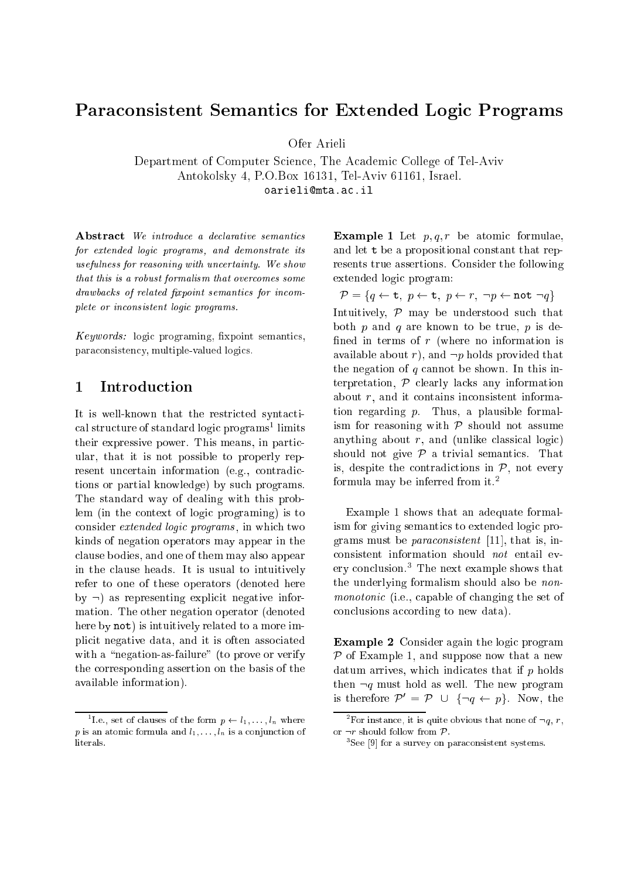# Para
onsistent Semanti
s for Extended Logi Programs

Department of Computer Science, The Academic College of Tel-Aviv Antokolsky 4, P.O.Box 16131, Tel-Aviv 61161, Israel. oarielimta.a
.il

Abstract We introduce a declarative semantics for extended logic programs, and demonstrate its usefulness for reasoning with un
ertainty. We show that this is a robust formalism that overcomes some drawbacks of related fixpoint semantics for incomplete or inconsistent logic programs.

 $Keywords:$  logic programing, fixpoint semantics, para
onsisten
y, multiple-valued logi
s.

### 1**Introduction**

It is well-known that the restricted syntactical structure of standard logic programs<sup>-</sup> limits their expressive power. This means, in parti
 ular, that it is not possible to properly represent uncertain information (e.g., contradictions or partial knowledge) by su
h programs. The standard way of dealing with this problem (in the context of logic programing) is to consider *extended logic programs*, in which two kinds of negation operators may appear in the lause bodies, and one of them may also appear in the lause heads. It is usual to intuitively refer to one of these operators (denoted here by  $\neg$ ) as representing explicit negative information. The other negation operator (denoted here by not) is intuitively related to a more impli
it negative data, and it is often asso
iated with a "negation-as-failure" (to prove or verify the orresponding assertion on the basis of the available information).

**Example 1** Let  $p, q, r$  be atomic formulae, and let <sup>t</sup> be a propositional onstant that represents true assertions. Consider the following extended logic program:

P = fq t; p t; p r; :p not :qg Intuitively,  $P$  may be understood such that both p and q are known to be true, p is defined in terms of  $r$  (where no information is available about r), and  $\neg p$  holds provided that the negation of  $q$  cannot be shown. In this interpretation,  $P$  clearly lacks any information about  $r$ , and it contains inconsistent information regarding  $p$ . Thus, a plausible formalism for reasoning with  $P$  should not assume anything about  $r$ , and (unlike classical logic) should not give  $P$  a trivial semantics. That is, despite the contradictions in  $P$ , not every formula may be inferred from it.2

Example 1 shows that an adequate formalism for giving semantics to extended logic programs must be *paraconsistent* [11], that is, inconsistent information should  $not$  entail every conclusion. I he next example shows that the underlying formalism should also be nonmonotonic (i.e., capable of changing the set of conclusions according to new data).

**Example 2** Consider again the logic program P of Example 1, and suppose now that a new datum arrives, which indicates that if  $p$  holds then  $\neg q$  must hold as well. The new program is therefore  $\mathcal{P}' = \mathcal{P} \cup \{\neg q \leftarrow p\}$ . Now, the

The set of clauses of the form  $p \leftarrow i_1, \ldots, i_n$  where p is an atomic formula and  $l_1, \ldots, l_n$  is a conjunction of literals.

For instance, it is quite obvious that none of  $\neg q, \, r,$ or showledge that the short product for the short product  $\mathbf{r}$ 

<sup>&</sup>quot;See py for a survey on paraconsistent systems."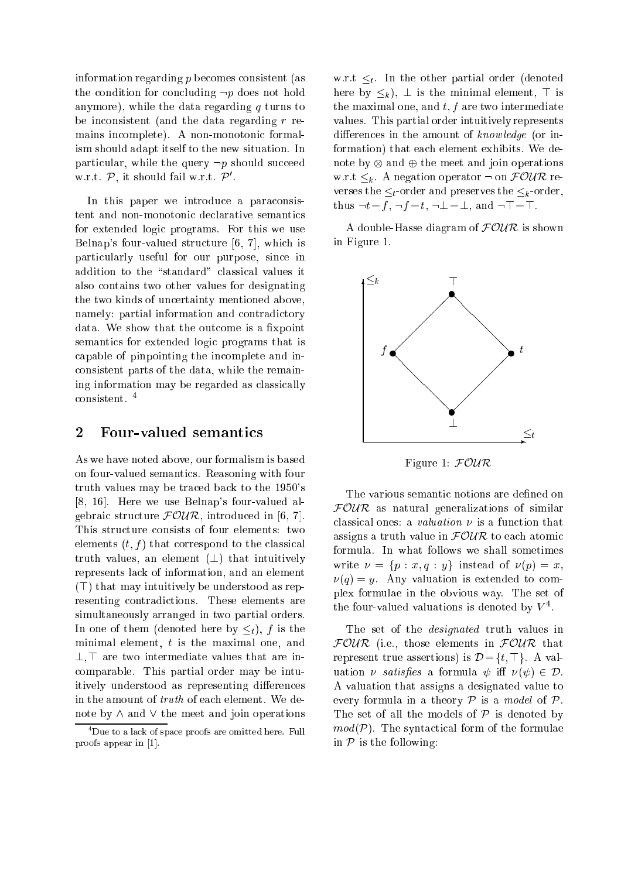information regarding <sup>p</sup> be
omes onsistent (as the condition for concluding  $\neg p$  does not hold anymore), while the data regarding  $q$  turns to be in
onsistent (and the data regarding <sup>r</sup> remains in
omplete). A non-monotoni formalism should adapt itself to the new situation. In particular, while the query  $\neg p$  should succeed w.r.t.  $P$ , it should fall w.r.t.  $P$ .

In this paper we introduce a paraconsistent and non-monotonic declarative semantics for extended logic programs. For this we use Belnap's four-valued structure  $[6, 7]$ , which is parti
ularly useful for our purpose, sin
e in addition to the "standard" classical values it also ontains two other values for designating the two kinds of un
ertainty mentioned above, namely: partial information and contradictory data. We show that the outcome is a fixpoint semantics for extended logic programs that is apable of pinpointing the in
omplete and in onsistent parts of the data, while the remaining information may be regarded as lassi
ally onsistent. <sup>4</sup>

#### 2Four-valued semanti
s

As we have noted above, our formalism is based on four-valued semanti
s. Reasoning with four truth values may be tra
ed ba
k to the 1950's  $[8, 16]$ . Here we use Belnap's four-valued algebraic structure  $FOWR$ , introduced in [6, 7]. This structure consists of four elements: two elements  $(t, f)$  that correspond to the classical truth values, an element  $(\perp)$  that intuitively represents la
k of information, and an element  $(T)$  that may intuitively be understood as representing ontradi
tions. These elements are simultaneously arranged in two partial orders. In one of them (denoted here by  $\leq_t$ ), f is the minimal element, <sup>t</sup> is the maximal one, and  $\perp$ ,  $\perp$  are two intermediate values that are inomparable. This partial order may be intuitively understood as representing differences in the amount of *truth* of each element. We denote by  $\wedge$  and  $\vee$  the meet and join operations w.r.t  $\leq_t$ . In the other partial order (denoted here by  $\leq_k$ ),  $\perp$  is the minimal element,  $\top$  is the maximal one, and  $t, f$  are two intermediate values. This partial order intuitively represents differences in the amount of knowledge (or information) that ea
h element exhibits. We denote by the meeting and in the meeting operations and w.r.t  $\leq_k$ . A negation operator  $\neg$  on  $\mathcal{FOUR}$  reverses the  $\leq_t$ -order and preserves the  $\leq_k$ -order, thus  $\neg t = f$ ,  $\neg f = t$ ,  $\neg \bot = \bot$ , and  $\neg \top = \top$ .

A double-Hasse diagram of  $FOWR$  is shown in Figure 1.



Figure 1: FOUR

The various semantic notions are defined on FOUR as natural generalizations of similar classical ones: a *valuation*  $\nu$  is a function that assigns a truth value in  $FOUR$  to each atomic formula. In what follows we shall sometimes write  $\nu = \{p : x, q : y\}$  instead of  $\nu(p) = x$ ,  $\nu(q) = y$ . Any valuation is extended to complex formulae in the obvious way. The set of the four-valued valuations is denoted by  $V$  .

The set of the designated truth values in FOUR (i.e., those elements in FOUR that represent true assertions) is  $\mathcal{D} = \{t, \top\}$ . A valuation  $\nu$  satisfies a formula  $\psi$  iff  $\nu(\psi) \in \mathcal{D}$ . A valuation that assigns a designated value to every formula in a theory  $P$  is a model of  $P$ . The set of all the models of  $P$  is denoted by  $mod(\mathcal{P})$ . The syntactical form of the formulae in  $P$  is the following:

<sup>4</sup> Due to <sup>a</sup> la
k of spa
e proofs are omitted here. Full provides appear in Fig.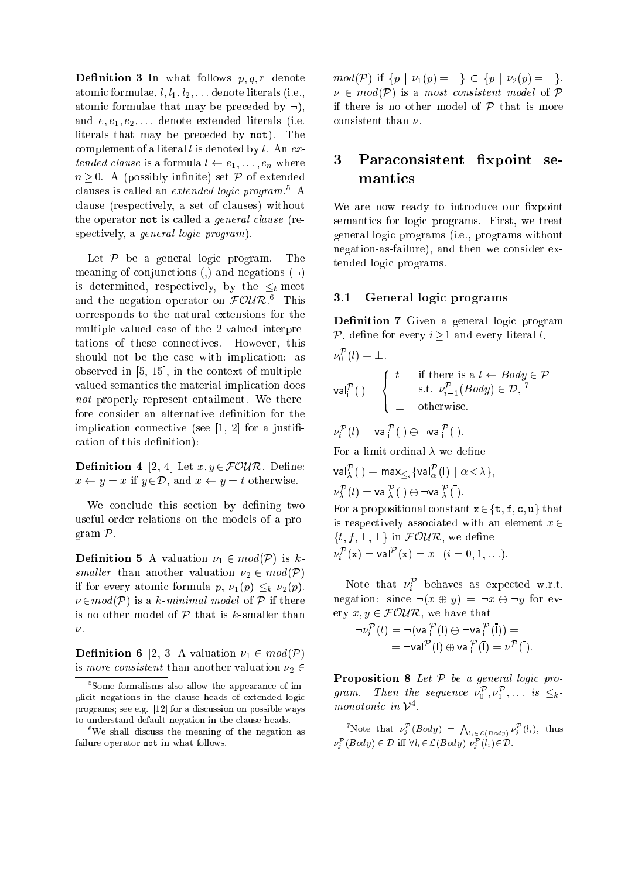**Definition 3** In what follows  $p, q, r$  denote atomic formulae,  $l, l_1, l_2, \ldots$  denote literals (i.e., atomic formulae that may be preceded by  $\neg$ ), and  $e, e_1, e_2, \ldots$  denote extended literals (i.e. literals that may be pre
eded by not). The complement of a literal l is denoted by  $\overline{l}$ . An extended clause is a formula  $l \leftarrow e_1, \ldots, e_n$  where n only in the contract of the possible intervals of extended and the extended set  $P$  of extended and the extended of extended and the extended of the extended of the extended of the extended of the extended of the extende clauses is called an *extended logic program*. A lause (respe
tively, a set of lauses) without the operator not is called a *general clause* (respectively, a *general logic program*).

Let  $P$  be a general logic program. The meaning of conjunctions (,) and negations  $(\neg)$ is determined, respectively, by the  $\leq_t$ -meet and the negation operator on  $\mathcal{F}\mathcal{O}\mathcal{U}\mathcal{K}$ . This orresponds to the natural extensions for the multiple-valued ase of the 2-valued interpretations of these onne
tives. However, this should not be the case with implication: as observed in  $[5, 15]$ , in the context of multiplevalued semanti
s the material impli
ation does not properly represent entailment. We therefore consider an alternative definition for the implication connective (see  $[1, 2]$  for a justification of this definition):

**Definition 4** [2, 4] Let  $x, y \in \mathcal{FOUR}$ . Define:  $x \leftarrow y = x$  if  $y \in \mathcal{D}$ , and  $x \leftarrow y = t$  otherwise.

We conclude this section by defining two useful order relations on the models of a program P.

**Definition 5** A valuation  $\nu_1 \in mod(\mathcal{P})$  is ksmaller than another valuation  $\nu_2 \in mod(\mathcal{P})$ if for every atomic formula p,  $\nu_1(p) \leq_k \nu_2(p)$ .  $\nu \in mod(\mathcal{P})$  is a k-minimal model of  $\mathcal P$  if there is no other model of  $P$  that is k-smaller than  $\nu$ .

**Definition 6** [2, 3] A valuation  $\nu_1 \in mod(\mathcal{P})$ is more consistent than another valuation  $\nu_2 \in$ 

 $mod(\mathcal{P})$  if  $\{p \mid \nu_1(p) = \top\} \subset \{p \mid \nu_2(p) = \top\}.$  $\nu \in mod(\mathcal{P})$  is a most consistent model of  $\mathcal P$ if there is no other model of  $P$  that is more consistent than  $\nu$ .

## Paraconsistent fixpoint se-3mantics

We are now ready to introduce our fixpoint semantics for logic programs. First, we treat general logi programs (i.e., programs without negation-as-failure), and then we onsider extended logic programs.

#### 3.1General logic programs

**Definition 7** Given a general logic program P, define for every  $i>1$  and every literal l,

$$
\nu_0^{\mathcal{P}}(l) = \bot.
$$
\n
$$
\mathsf{val}_i^{\mathcal{P}}(l) = \begin{cases} t & \text{if there is a } l \leftarrow Body \in \mathcal{P} \\ \text{s.t. } \nu_{i-1}^{\mathcal{P}}(Body) \in \mathcal{D}, \ ^{7} \\ \bot & \text{otherwise.} \end{cases}
$$

$$
\nu_i^{\mathcal{P}}(l) = \mathsf{val}_i^{\mathcal{P}}(l) \oplus \neg \mathsf{val}_i^{\mathcal{P}}(\overline{l}).
$$

For a limit ordinal  $\lambda$  we define

$$
\mathsf{val}^{\mathcal{P}}_{\lambda}(\mathsf{I}) = \max_{\leq k} \{ \mathsf{val}^{\mathcal{P}}_{\alpha}(\mathsf{I}) \mid \alpha < \lambda \},
$$
  

$$
\nu^{\mathcal{P}}_{\lambda}(\mathsf{I}) = \mathsf{val}^{\mathcal{P}}_{\lambda}(\mathsf{I}) \oplus \neg \mathsf{val}^{\mathcal{P}}_{\lambda}(\bar{\mathsf{I}}).
$$

For a propositional constant  $x \in \{t, f, c, u\}$  that is respectively associated with an element  $x \in$  $\{t, f, \top, \bot\}$  in  $\mathcal{FOUR}$ , we define  $\nu_i$  (x) = vale (x) = x (i = 0, 1, ...).

ivote that  $\nu_i$  behaves as expected w.r.t. negation: since  $\neg(x \oplus y) = \neg x \oplus \neg y$  for every  $x, y \in \mathcal{FOUR}$ , we have that

$$
\neg \nu_i^{\mathcal{P}}(l) = \neg (\text{val}_i^{\mathcal{P}}(l) \oplus \neg \text{val}_i^{\mathcal{P}}(\overline{l})) =
$$
  
= 
$$
\neg \text{val}_i^{\mathcal{P}}(l) \oplus \text{val}_i^{\mathcal{P}}(\overline{l}) = \nu_i^{\mathcal{P}}(\overline{l}).
$$

**Proposition 8** Let  $P$  be a general logic program. Then the sequence  $\nu_0^{\vphantom{\ast}}$  ,  $\nu_1^{\vphantom{\ast}}$  ,... is  $\leq_k$ monotonic in  $V^{\ast}.$ 

<sup>5</sup> Some formalisms also allow the appearan
e of implicit in guide in the film of extended to contract in good programs; see e.g. [22] car a discussion on possible ways to understand default negation in the lause heads.

we shall discuss the meaning of the negation as failure operator not in what follows.

<sup>&</sup>lt;sup>7</sup>Note that  $\nu_i^{\mathcal{P}}(Body) = \bigwedge$  $l_i \in \mathcal{L}(Body)$   $\mathcal{V}_j^{\perp}(l_i)$ , thus  $\mathcal{V}_i$  (Body)  $\in \mathcal{V}$  iff  $\nabla i_i \in \mathcal{L}(Body)$   $\mathcal{V}_i$   $(i_i) \in \mathcal{V}$ .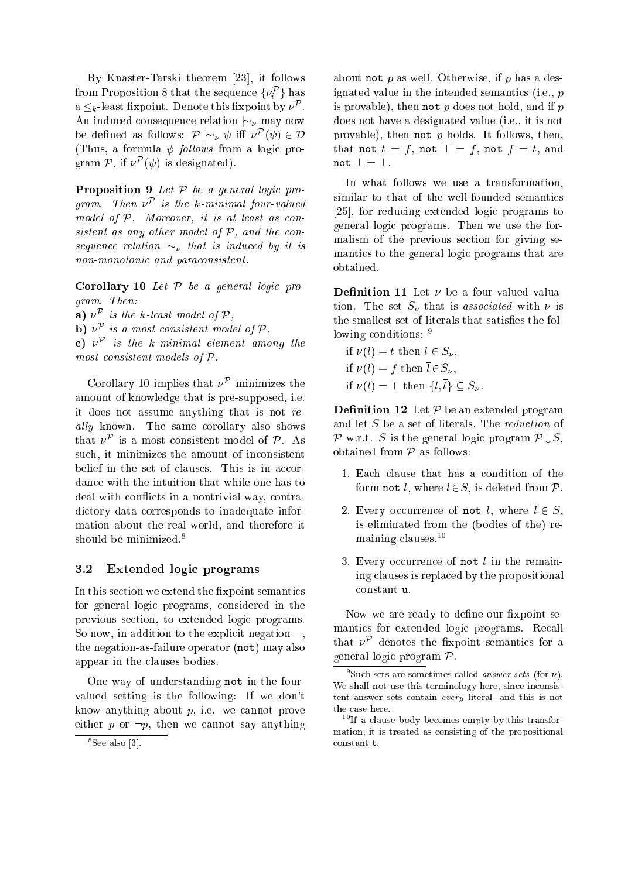By Knaster-Tarski theorem  $[23]$ , it follows from Proposition  $\delta$  that the sequence  $\{\nu_i^-\}$  has  $a \leq_k$ -least inxpoint. Denote this inxpoint by  $\nu^+$  . An induced consequence relation  $\sim_{\nu}$  may now be defined as follows:  $P \sim_{\nu} \psi$  in  $\nu \ (\psi) \in D$ (Thus, a formula  $\psi$  *follows* from a logic program  $P$ , if  $\nu^+( \psi)$  is designated).

**Proposition 9** Let  $P$  be a general logic program. Then <sup>P</sup> is the k-minimal four-valued model of  $P$ . Moreover, it is at least as consistent as any other model of  $P$ , and the consequence relation  $|\sim_{\nu}$  that is induced by it is non-monotonic and paraconsistent.

Corollary 10 Let  $P$  be a general logic program. Then:

**a**)  $\nu^{\mathcal{P}}$  is the k-least model of  $\mathcal{P},$ 

**b**)  $\nu^P$  is a most consistent model of  $\mathcal{P},$ 

 $\mathbf{c})$   $\nu^\mathcal{P}$  is the k-minimal element among the most consistent models of  $P$ .

Corollary 10 implies that  $\nu^{\mathcal{P}}$  minimizes the amount of knowledge that is pre-supposed, i.e. it does not assume anything that is not really known. The same corollary also shows that  $\nu^+$  is a most consistent model of  $\nu^+$ . As such, it minimizes the amount of inconsistent belief in the set of clauses. This is in accordan
e with the intuition that while one has to deal with conflicts in a nontrivial way, contradictory data corresponds to inadequate information about the real world, and therefore it should be minimized.<sup>8</sup>

#### 3.2Extended logic programs

In this section we extend the fixpoint semantics for general logic programs, considered in the previous se
tion, to extended logi programs. So now, in addition to the explicit negation  $\neg$ , the negation-as-failure operator (not) may also appear in the lauses bodies.

One way of understanding not in the fourvalued setting is the following: If we don't know anything about  $p$ , i.e. we cannot prove either  $p$  or  $\neg p$ , then we cannot say anything

about not p as well. Otherwise, if p has a designated value in the intended semantics (i.e., p is provable), then not  $p$  does not hold, and if  $p$ does not have a designated value (i.e., it is not provable), then not  $p$  holds. It follows, then, that not  $t = f$ , not  $\top = f$ , not  $f = t$ , and not  $\bot = \bot$ .

In what follows we use a transformation, similar to that of the well-founded semanti
s [25], for reducing extended logic programs to general logi programs. Then we use the formalism of the previous se
tion for giving semantics to the general logic programs that are obtained.

**Definition 11** Let  $\nu$  be a four-valued valuation. The set  $S_{\nu}$  that is associated with  $\nu$  is the smallest set of literals that satisfies the following conditions: 9

if  $\nu(l) = t$  then  $l \in S_{\nu}$ , if  $\nu(l) = f$  then  $\overline{l} \in S_{\nu}$ , if  $\nu(l) = \top$  then  $\{l, \overline{l}\} \subset S_{\nu}$ .

**Definition 12** Let  $P$  be an extended program and let  $S$  be a set of literals. The *reduction* of P w.r.t. <sup>S</sup> is the general logi program <sup>P</sup> # S, obtained from  $P$  as follows:

- 1. Each clause that has a condition of the form not l, where  $l \in S$ , is deleted from  $\mathcal{P}$ .
- 2. Every occurrence of not l, where  $\overline{l} \in S$ , is eliminated from the (bodies of the) remaining lauses.10
- 3. Every occurrence of not  $l$  in the remaining lauses is repla
ed by the propositional onstant u.

Now we are ready to define our fixpoint semantics for extended logic programs. Recall that  $\nu$  denotes the inxpoint semantics for a general logic program  $\mathcal{P}$ .

<sup>-</sup> See also [3].

Such sets are sometimes called *answer sets* (for  $\nu$ ). we shall not use the internal companies of the internal contracts of the single single single single single single single single single single single single single single single single single single single single single si tent answer sets ontain every literal, and this is not the ase here.

If a clause body becomes empty by this transformation, it is treated as onsisting of the propositional constant t.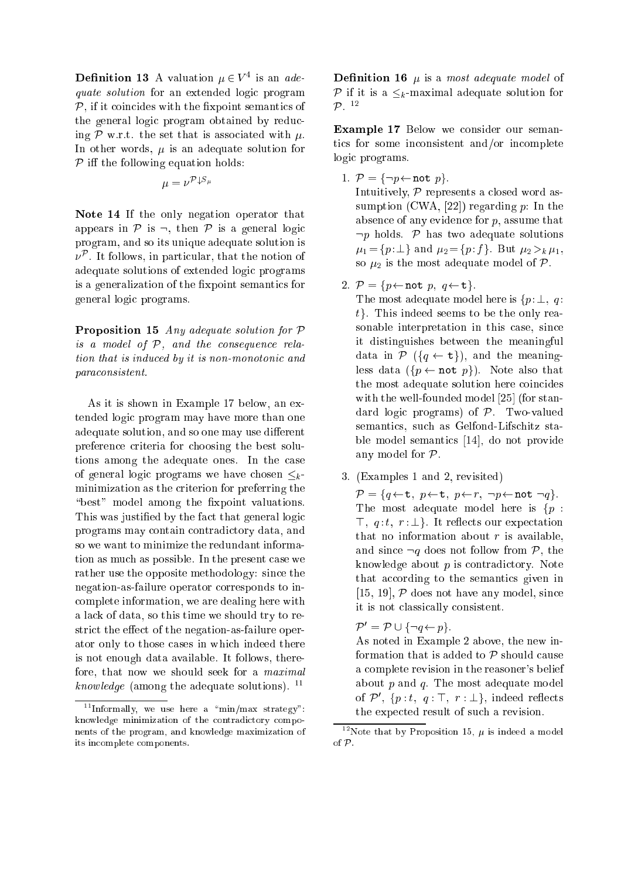**Definition 13** A valuation  $\mu \in V^4$  is an adequate solution for an extended logic program  $P$ , if it coincides with the fixpoint semantics of the general logic program obtained by reducing  $\mathcal P$  w.r.t. the set that is associated with  $\mu$ . In other words,  $\mu$  is an adequate solution for P i the following equation holds:

$$
\mu=\nu^{{\mathcal{P} }\mathord{\downarrow} S_{\mu}}
$$

Note 14 If the only negation operator that appears in  $\mathcal P$  is  $\neg$ , then  $\mathcal P$  is a general logic program, and so its unique adequate solution is  $\nu$  . It follows, in particular, that the notion of adequate solutions of extended logic programs is a generalization of the fixpoint semantics for general logi programs.

Proposition 15 Any adequate solution for  $P$ is a model of  $P$ , and the consequence relation that is induced by it is non-monotonic and para
onsistent.

As it is shown in Example 17 below, an extended logic program may have more than one adequate solution, and so one may use different preference criteria for choosing the best solutions among the adequate ones. In the ase of general logic programs we have chosen  $\leq_k$ minimization as the criterion for preferring the "best" model among the fixpoint valuations. This was justified by the fact that general logic programs may ontain ontradi
tory data, and so we want to minimize the redundant information as mu
h as possible. In the present ase we rather use the opposite methodology: sin
e the negation-as-failure operator orresponds to in omplete information, we are dealing here with a la
k of data, so this time we should try to restrict the effect of the negation-as-failure operator only to those ases in whi
h indeed there is not enough data available. It follows, therefore, that now we should seek for a maximal knowledge (among the adequate solutions).  $11$ 

**Definition 16**  $\mu$  is a most adequate model of  $P$  is a k-maximal additional and  $P$  is a k-maximal and formula  $\alpha$ P.  $\mathcal{P}^{-12}$ 

Example 17 Below we consider our semantics for some inconsistent and/or incomplete logic programs.

1.  $P = \{\neg p \leftarrow \text{not } p\}.$ 

Intuitively,  $P$  represents a closed word assumption (CWA, [22]) regarding p: In the absen
e of any eviden
e for p, assume that  $\neg p$  holds. P has two adequate solutions  $\mu_1 = \{p : \perp\}$  and  $\mu_2 = \{p : f\}$ . But  $\mu_2 >_k \mu_1$ , so  $\mu_2$  is the most adequate model of  $\mathcal{P}$ .

2.  $P = \{p \leftarrow \text{not } p, q \leftarrow \text{t}\}.$ 

The most adequate model here is  $\{p : \perp, q\}$  $t$ . This indeed seems to be the only reasonable interpretation in this case, since it distinguishes between the meaningful data in  $P({q \leftarrow t})$ , and the meaningless data  $({p \leftarrow not p})$ . Note also that the most adequate solution here coincides with the well-founded model  $[25]$  (for standard logic programs) of  $P$ . Two-valued semantics, such as Gelfond-Lifschitz stable model semantics [14], do not provide any model for P.

3. (Examples 1 and 2, revisited)

P = fq t; p t; p r; :p not :qg. The most adequate model here is  $\{p :$  $\top$ ,  $q: t, r: \perp$ . It reflects our expectation that no information about  $r$  is available, and since  $\neg q$  does not follow from  $\mathcal{P}$ , the knowledge about  $p$  is contradictory. Note that according to the semantics given in [15, 19],  $P$  does not have any model, since it is not lassi
ally onsistent.

 $P = P \cup \{ \neg q \leftarrow p \}.$ 

As noted in Example 2 above, the new information that is added to  $P$  should cause a omplete revision in the reasoner's belief about  $p$  and  $q$ . The most adequate model of  $P$ ,  $\{p : t, q : \ldots, r : \bot\}$ , indeed reflects the expe
ted result of su
h a revision.

 $\lceil \cdot \rceil$  Informally, we use here a  $\lceil \cdot \rceil$ min/max strategy": knowledge minimization of the ontradi
tory omponents of the program, and knowledge maximization of its in
omplete omponents.

 $\lceil$  Note that by Proposition 15,  $\mu$  is indeed a model of P.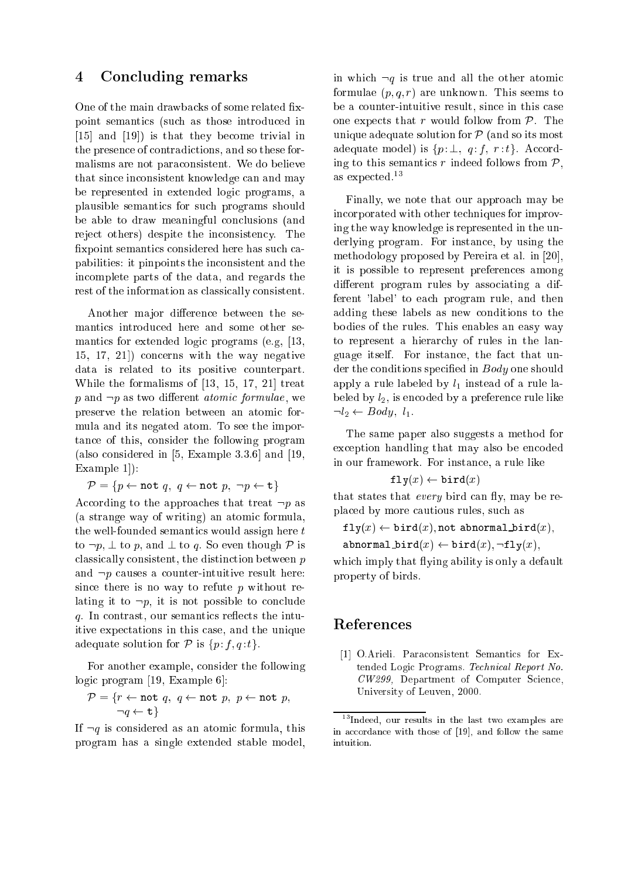### 4Con
luding remarks

One of the main drawbacks of some related fixpoint semanti
s (su
h as those introdu
ed in  $[15]$  and  $[19]$ ) is that they become trivial in the presen
e of ontradi
tions, and so these formalisms are not para
onsistent. We do believe that sin
e in
onsistent knowledge an and may be represented in extended logic programs, a plausible semanti
s for su
h programs should be able to draw meaningful conclusions (and reject others) despite the inconsistency. The fixpoint semantics considered here has such capabilities: it pinpoints the in
onsistent and the in
omplete parts of the data, and regards the rest of the information as lassi
ally onsistent.

Another major difference between the semanti
s introdu
ed here and some other semantics for extended logic programs (e.g, [13,  $(15, 17, 21)$  concerns with the way negative data is related to its positive ounterpart. While the formalisms of  $[13, 15, 17, 21]$  treat p and  $\neg p$  as two different *atomic formulae*, we preserve the relation between an atomi formula and its negated atom. To see the importan
e of this, onsider the following program (also considered in  $[5, Example 3.3.6]$  and  $[19,$ Example  $1$ :

$$
\mathcal{P} = \{ p \leftarrow \mathtt{not} \ q, \ q \leftarrow \mathtt{not} \ p, \ \neg p \leftarrow \mathtt{t} \}
$$

According to the approaches that treat  $\neg p$  as (a strange way of writing) an atomi formula, the well-founded semantics would assign here t to  $\neg p$ ,  $\perp$  to p, and  $\perp$  to q. So even though  $\mathcal P$  is classically consistent, the distinction between  $p$ and  $\neg p$  causes a counter-intuitive result here: since there is no way to refute  $p$  without relating it to  $\neg p$ , it is not possible to conclude  $q$ . In contrast, our semantics reflects the intuitive expe
tations in this ase, and the unique adequate solution for  $P$  is  $\{p:f,q:t\}$ .

For another example, onsider the following  $logic$  program [19, Example 6]:

$$
\mathcal{P} = \{r \leftarrow \text{not } q, q \leftarrow \text{not } p, p \leftarrow \text{not } p, \quad \neg q \leftarrow \text{t}\}
$$

If  $\neg q$  is considered as an atomic formula, this program has a single extended stable model,

in which  $\neg q$  is true and all the other atomic formulae  $(p, q, r)$  are unknown. This seems to be a ounter-intuitive result, sin
e in this ase one expects that r would follow from  $P$ . The unique adequate solution for  $P$  (and so its most adequate model) is  $\{p : \bot, q : f, r : t\}$ . According to this semantics r indeed follows from  $P$ , as expe
ted.<sup>13</sup>

Finally, we note that our approa
h may be in
orporated with other te
hniques for improving the way knowledge is represented in the underlying program. For instan
e, by using the methodology proposed by Pereira et al. in  $[20]$ , it is possible to represent preferen
es among different program rules by associating a different 'label' to ea
h program rule, and then adding these labels as new onditions to the bodies of the rules. This enables an easy way to represent a hierar
hy of rules in the language itself. For instance, the fact that under the conditions specified in Body one should apply a rule labeled by  $l_1$  instead of a rule labeled by  $l_2$ , is encoded by a preference rule like  $-l_2 \leftarrow Body, l_1.$ 

The same paper also suggests a method for exception handling that may also be encoded in our framework. For instan
e, a rule like

$$
\mathtt{fly}(x) \gets \mathtt{bird}(x)
$$

that states that *every* bird can fly, may be repla
ed by more autious rules, su
h as

 $fly(x) \leftarrow \text{bird}(x)$ , not abnormal bird $(x)$ , abnormal bird $(x) \leftarrow \text{bird}(x), -\text{fly}(x),$ 

which imply that flying ability is only a default property of birds.

[1] O.Arieli. Paraconsistent Semantics for Extended Logic Programs. Technical Report No. CW299, Department of Computer Science, University of Leuven, 2000.

<sup>13</sup>Indeed, our results in the last two examples are in a

ordan
e with those of [19℄, and follow the same intuition.